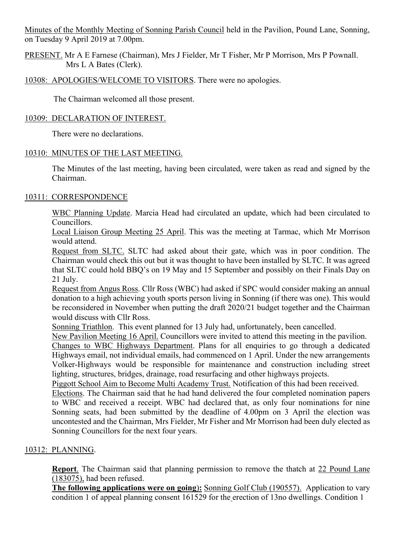Minutes of the Monthly Meeting of Sonning Parish Council held in the Pavilion, Pound Lane, Sonning, on Tuesday 9 April 2019 at 7.00pm.

PRESENT. Mr A E Farnese (Chairman), Mrs J Fielder, Mr T Fisher, Mr P Morrison, Mrs P Pownall. Mrs L A Bates (Clerk).

# 10308: APOLOGIES/WELCOME TO VISITORS. There were no apologies.

The Chairman welcomed all those present.

### 10309: DECLARATION OF INTEREST.

There were no declarations.

### 10310: MINUTES OF THE LAST MEETING.

The Minutes of the last meeting, having been circulated, were taken as read and signed by the Chairman.

### 10311: CORRESPONDENCE

WBC Planning Update. Marcia Head had circulated an update, which had been circulated to Councillors.

Local Liaison Group Meeting 25 April. This was the meeting at Tarmac, which Mr Morrison would attend.

Request from SLTC. SLTC had asked about their gate, which was in poor condition. The Chairman would check this out but it was thought to have been installed by SLTC. It was agreed that SLTC could hold BBQ's on 19 May and 15 September and possibly on their Finals Day on 21 July.

Request from Angus Ross. Cllr Ross (WBC) had asked if SPC would consider making an annual donation to a high achieving youth sports person living in Sonning (if there was one). This would be reconsidered in November when putting the draft 2020/21 budget together and the Chairman would discuss with Cllr Ross.

Sonning Triathlon. This event planned for 13 July had, unfortunately, been cancelled.

New Pavilion Meeting 16 April. Councillors were invited to attend this meeting in the pavilion. Changes to WBC Highways Department. Plans for all enquiries to go through a dedicated Highways email, not individual emails, had commenced on 1 April. Under the new arrangements Volker-Highways would be responsible for maintenance and construction including street lighting, structures, bridges, drainage, road resurfacing and other highways projects.

Piggott School Aim to Become Multi Academy Trust. Notification of this had been received.

Elections. The Chairman said that he had hand delivered the four completed nomination papers to WBC and received a receipt. WBC had declared that, as only four nominations for nine Sonning seats, had been submitted by the deadline of 4.00pm on 3 April the election was uncontested and the Chairman, Mrs Fielder, Mr Fisher and Mr Morrison had been duly elected as Sonning Councillors for the next four years.

# 10312: PLANNING.

**Report**. The Chairman said that planning permission to remove the thatch at 22 Pound Lane (183075), had been refused.

**The following applications were on going**)**:** Sonning Golf Club (190557). Application to vary condition 1 of appeal planning consent 161529 for the erection of 13no dwellings. Condition 1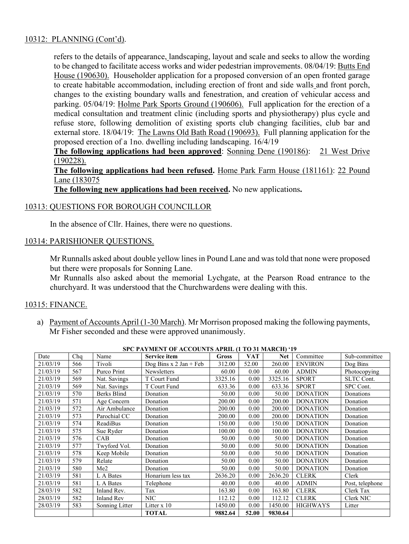# 10312: PLANNING (Cont'd).

refers to the details of appearance, landscaping, layout and scale and seeks to allow the wording to be changed to facilitate access works and wider pedestrian improvements. 08/04/19: Butts End House (190630). Householder application for a proposed conversion of an open fronted garage to create habitable accommodation, including erection of front and side walls and front porch, changes to the existing boundary walls and fenestration, and creation of vehicular access and parking. 05/04/19: Holme Park Sports Ground (190606). Full application for the erection of a medical consultation and treatment clinic (including sports and physiotherapy) plus cycle and refuse store, following demolition of existing sports club changing facilities, club bar and external store. 18/04/19: The Lawns Old Bath Road (190693). Full planning application for the proposed erection of a 1no. dwelling including landscaping. 16/4/19

**The following applications had been approved**: Sonning Dene (190186): 21 West Drive (190228).

**The following applications had been refused.** Home Park Farm House (181161): 22 Pound Lane (183075

**The following new applications had been received.** No new applications**.**

#### 10313: QUESTIONS FOR BOROUGH COUNCILLOR

In the absence of Cllr. Haines, there were no questions.

### 10314: PARISHIONER QUESTIONS.

Mr Runnalls asked about double yellow lines in Pound Lane and was told that none were proposed but there were proposals for Sonning Lane.

Mr Runnalls also asked about the memorial Lychgate, at the Pearson Road entrance to the churchyard. It was understood that the Churchwardens were dealing with this.

### 10315: FINANCE.

a) Payment of Accounts April (1-30 March). Mr Morrison proposed making the following payments, Mr Fisher seconded and these were approved unanimously.

|          |     |                    | SPC PAYMENT OF ACCOUNTS APRIL (1 TO 31 MARCH) '19 |              |            |            |                 |                 |
|----------|-----|--------------------|---------------------------------------------------|--------------|------------|------------|-----------------|-----------------|
| Date     | Chq | Name               | Service item                                      | <b>Gross</b> | <b>VAT</b> | <b>Net</b> | Committee       | Sub-committee   |
| 21/03/19 | 566 | Tivoli             | Dog Bins $x$ 2 Jan + Feb                          | 312.00       | 52.00      | 260.00     | <b>ENVIRON</b>  | Dog Bins        |
| 21/03/19 | 567 | Purco Print        | <b>Newsletters</b>                                | 60.00        | 0.00       | 60.00      | <b>ADMIN</b>    | Photocopying    |
| 21/03/19 | 569 | Nat. Savings       | T Court Fund                                      | 3325.16      | 0.00       | 3325.16    | <b>SPORT</b>    | SLTC Cont.      |
| 21/03/19 | 569 | Nat. Savings       | T Court Fund                                      | 633.36       | 0.00       | 633.36     | <b>SPORT</b>    | SPC Cont.       |
| 21/03/19 | 570 | <b>Berks Blind</b> | Donation                                          | 50.00        | 0.00       | 50.00      | <b>DONATION</b> | Donations       |
| 21/03/19 | 571 | Age Concern        | Donation                                          | 200.00       | 0.00       | 200.00     | <b>DONATION</b> | Donation        |
| 21/03/19 | 572 | Air Ambulance      | Donation                                          | 200.00       | 0.00       | 200.00     | <b>DONATION</b> | Donation        |
| 21/03/19 | 573 | Parochial CC       | Donation                                          | 200.00       | 0.00       | 200.00     | <b>DONATION</b> | Donation        |
| 21/03/19 | 574 | <b>ReadiBus</b>    | Donation                                          | 150.00       | 0.00       | 150.00     | <b>DONATION</b> | Donation        |
| 21/03/19 | 575 | Sue Ryder          | Donation                                          | 100.00       | 0.00       | 100.00     | <b>DONATION</b> | Donation        |
| 21/03/19 | 576 | CAB                | Donation                                          | 50.00        | 0.00       | 50.00      | <b>DONATION</b> | Donation        |
| 21/03/19 | 577 | Twyford Vol.       | Donation                                          | 50.00        | 0.00       | 50.00      | <b>DONATION</b> | Donation        |
| 21/03/19 | 578 | Keep Mobile        | Donation                                          | 50.00        | 0.00       | 50.00      | <b>DONATION</b> | Donation        |
| 21/03/19 | 579 | Relate             | Donation                                          | 50.00        | 0.00       | 50.00      | <b>DONATION</b> | Donation        |
| 21/03/19 | 580 | Me2                | Donation                                          | 50.00        | $0.00\,$   | 50.00      | <b>DONATION</b> | Donation        |
| 21/03/19 | 581 | L A Bates          | Honarium less tax                                 | 2636.20      | 0.00       | 2636.20    | <b>CLERK</b>    | Clerk           |
| 21/03/19 | 581 | L A Bates          | Telephone                                         | 40.00        | 0.00       | 40.00      | <b>ADMIN</b>    | Post, telephone |
| 28/03/19 | 582 | Inland Rev.        | Tax                                               | 163.80       | $0.00\,$   | 163.80     | <b>CLERK</b>    | Clerk Tax       |
| 28/03/19 | 582 | Inland Rev         | <b>NIC</b>                                        | 112.12       | 0.00       | 112.12     | <b>CLERK</b>    | Clerk NIC       |
| 28/03/19 | 583 | Sonning Litter     | Litter $x 10$                                     | 1450.00      | 0.00       | 1450.00    | <b>HIGHWAYS</b> | Litter          |
|          |     |                    | <b>TOTAL</b>                                      | 9882.64      | 52.00      | 9830.64    |                 |                 |

**SPC PAYMENT OF ACCOUNTS APRIL (1 TO 31 MARCH) '19**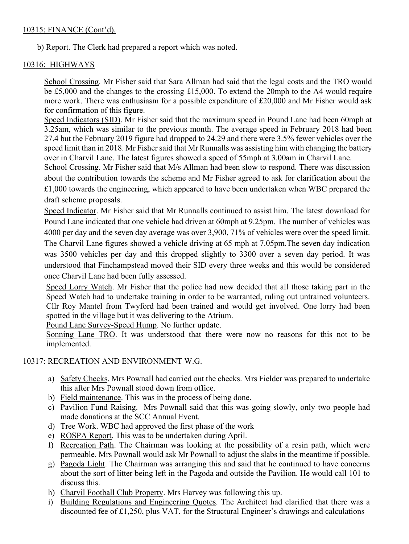# 10315: FINANCE (Cont'd).

b) Report. The Clerk had prepared a report which was noted.

# 10316: HIGHWAYS

School Crossing. Mr Fisher said that Sara Allman had said that the legal costs and the TRO would be £5,000 and the changes to the crossing £15,000. To extend the 20mph to the A4 would require more work. There was enthusiasm for a possible expenditure of £20,000 and Mr Fisher would ask for confirmation of this figure.

Speed Indicators (SID). Mr Fisher said that the maximum speed in Pound Lane had been 60mph at 3.25am, which was similar to the previous month. The average speed in February 2018 had been 27.4 but the February 2019 figure had dropped to 24.29 and there were 3.5% fewer vehicles over the speed limit than in 2018. Mr Fisher said that Mr Runnalls was assisting him with changing the battery over in Charvil Lane. The latest figures showed a speed of 55mph at 3.00am in Charvil Lane.

School Crossing. Mr Fisher said that M/s Allman had been slow to respond. There was discussion about the contribution towards the scheme and Mr Fisher agreed to ask for clarification about the £1,000 towards the engineering, which appeared to have been undertaken when WBC prepared the draft scheme proposals.

Speed Indicator. Mr Fisher said that Mr Runnalls continued to assist him. The latest download for Pound Lane indicated that one vehicle had driven at 60mph at 9.25pm. The number of vehicles was 4000 per day and the seven day average was over 3,900, 71% of vehicles were over the speed limit. The Charvil Lane figures showed a vehicle driving at 65 mph at 7.05pm.The seven day indication was 3500 vehicles per day and this dropped slightly to 3300 over a seven day period. It was understood that Finchampstead moved their SID every three weeks and this would be considered once Charvil Lane had been fully assessed.

Speed Lorry Watch. Mr Fisher that the police had now decided that all those taking part in the Speed Watch had to undertake training in order to be warranted, ruling out untrained volunteers. Cllr Roy Mantel from Twyford had been trained and would get involved. One lorry had been spotted in the village but it was delivering to the Atrium.

Pound Lane Survey-Speed Hump. No further update.

Sonning Lane TRO. It was understood that there were now no reasons for this not to be implemented.

### 10317: RECREATION AND ENVIRONMENT W.G.

- a) Safety Checks. Mrs Pownall had carried out the checks. Mrs Fielder was prepared to undertake this after Mrs Pownall stood down from office.
- b) Field maintenance. This was in the process of being done.
- c) Pavilion Fund Raising. Mrs Pownall said that this was going slowly, only two people had made donations at the SCC Annual Event.
- d) Tree Work. WBC had approved the first phase of the work
- e) ROSPA Report. This was to be undertaken during April.
- f) Recreation Path. The Chairman was looking at the possibility of a resin path, which were permeable. Mrs Pownall would ask Mr Pownall to adjust the slabs in the meantime if possible.
- g) Pagoda Light. The Chairman was arranging this and said that he continued to have concerns about the sort of litter being left in the Pagoda and outside the Pavilion. He would call 101 to discuss this.
- h) Charvil Football Club Property. Mrs Harvey was following this up.
- i) Building Regulations and Engineering Quotes. The Architect had clarified that there was a discounted fee of £1,250, plus VAT, for the Structural Engineer's drawings and calculations